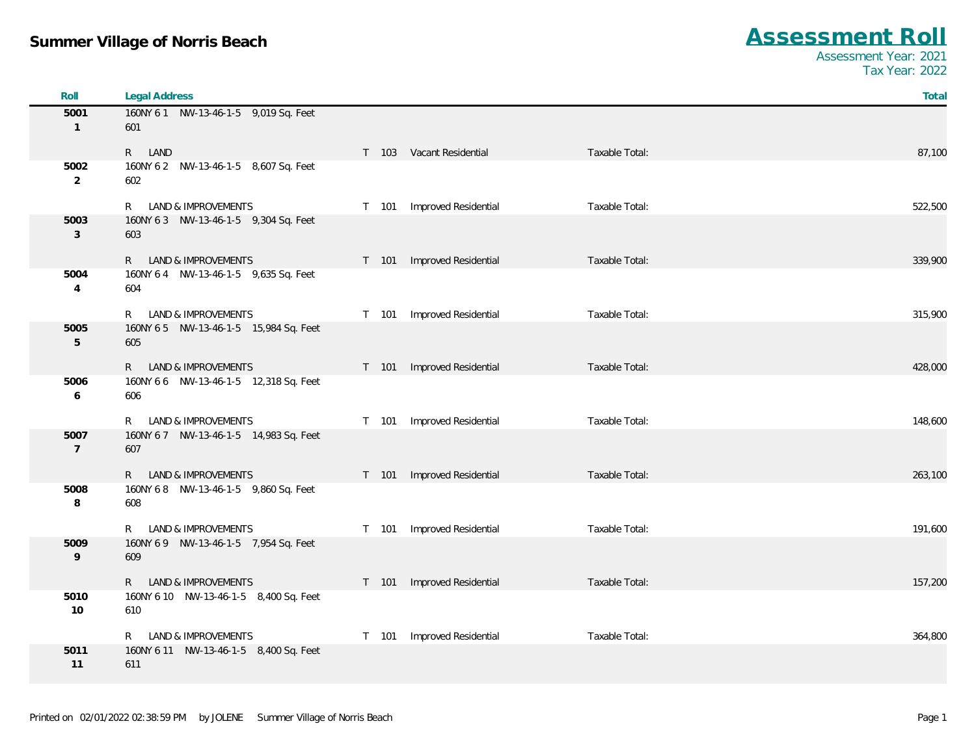| Roll           | <b>Legal Address</b>                           |                                                 | Total   |
|----------------|------------------------------------------------|-------------------------------------------------|---------|
| 5001           | 160NY 61 NW-13-46-1-5 9,019 Sq. Feet           |                                                 |         |
| $\mathbf{1}$   | 601                                            |                                                 |         |
|                | R LAND                                         | T 103 Vacant Residential<br>Taxable Total:      | 87,100  |
| 5002           | 160NY 6 2    NW-13-46-1-5    8,607 Sq. Feet    |                                                 |         |
| $\overline{2}$ | 602                                            |                                                 |         |
|                | <b>LAND &amp; IMPROVEMENTS</b><br>$\mathsf{R}$ | T 101 Improved Residential<br>Taxable Total:    | 522,500 |
| 5003           | 160NY 63 NW-13-46-1-5 9,304 Sq. Feet           |                                                 |         |
| 3              | 603                                            |                                                 |         |
|                | LAND & IMPROVEMENTS<br>R                       | T 101 Improved Residential<br>Taxable Total:    | 339,900 |
| 5004           | 160NY 6 4 NW-13-46-1-5 9,635 Sq. Feet          |                                                 |         |
| $\overline{4}$ | 604                                            |                                                 |         |
|                | LAND & IMPROVEMENTS<br>R                       | Improved Residential<br>Taxable Total:<br>T 101 | 315,900 |
| 5005           | 160NY 65 NW-13-46-1-5 15,984 Sq. Feet          |                                                 |         |
| 5              | 605                                            |                                                 |         |
|                | LAND & IMPROVEMENTS<br>R.                      | T 101 Improved Residential<br>Taxable Total:    | 428,000 |
| 5006           | 160NY 6 6 NW-13-46-1-5 12,318 Sq. Feet         |                                                 |         |
| 6              | 606                                            |                                                 |         |
|                | LAND & IMPROVEMENTS<br>R                       | Improved Residential<br>Taxable Total:<br>T 101 | 148,600 |
| 5007           | 160NY 67 NW-13-46-1-5 14,983 Sq. Feet          |                                                 |         |
| $\overline{7}$ | 607                                            |                                                 |         |
|                | LAND & IMPROVEMENTS<br>R.                      | T 101 Improved Residential<br>Taxable Total:    | 263,100 |
| 5008           | 160NY 68 NW-13-46-1-5 9,860 Sq. Feet           |                                                 |         |
| 8              | 608                                            |                                                 |         |
|                | LAND & IMPROVEMENTS<br>R                       | Improved Residential<br>Taxable Total:<br>T 101 | 191,600 |
| 5009           | 160NY 69 NW-13-46-1-5 7,954 Sq. Feet           |                                                 |         |
| 9              | 609                                            |                                                 |         |
|                | R LAND & IMPROVEMENTS                          | T 101 Improved Residential<br>Taxable Total:    | 157,200 |
| 5010           | 160NY 6 10 NW-13-46-1-5 8,400 Sq. Feet         |                                                 |         |
| 10             | 610                                            |                                                 |         |
|                | LAND & IMPROVEMENTS<br>R                       | Improved Residential<br>Taxable Total:<br>T 101 | 364,800 |
| 5011           | 160NY 6 11 NW-13-46-1-5 8,400 Sq. Feet         |                                                 |         |
| 11             | 611                                            |                                                 |         |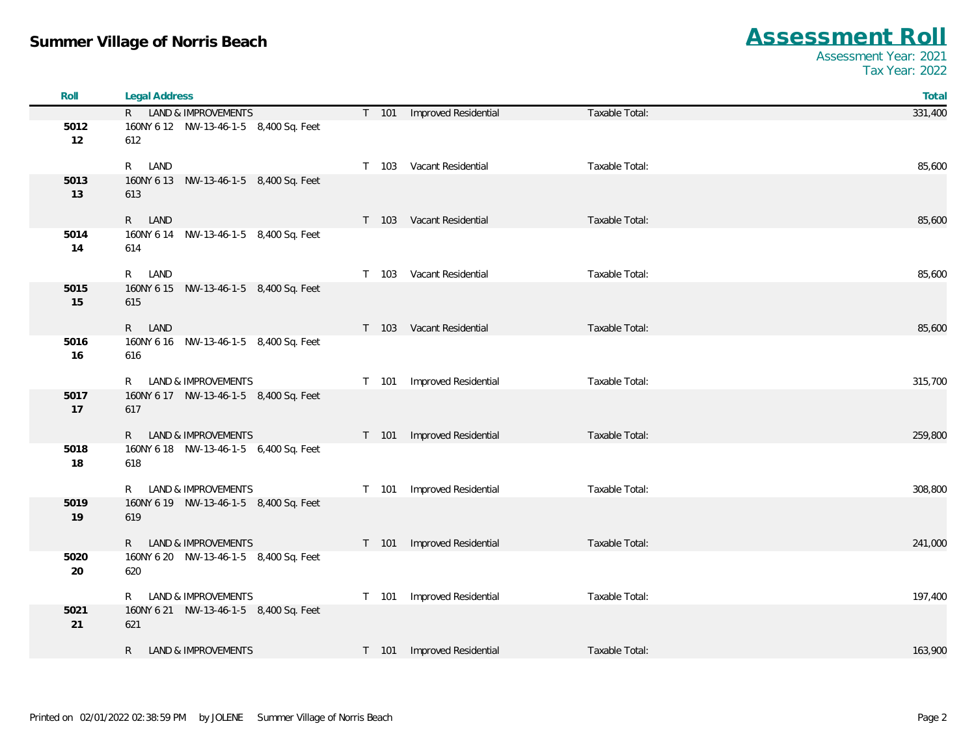| Roll       | <b>Legal Address</b>                                |                                                 | Total   |
|------------|-----------------------------------------------------|-------------------------------------------------|---------|
|            | R LAND & IMPROVEMENTS                               | T 101 Improved Residential<br>Taxable Total:    | 331,400 |
| 5012<br>12 | 160NY 6 12 NW-13-46-1-5 8,400 Sq. Feet<br>612       |                                                 |         |
|            | R LAND                                              | T 103 Vacant Residential<br>Taxable Total:      | 85,600  |
| 5013<br>13 | 160NY 6 13 NW-13-46-1-5 8,400 Sq. Feet<br>613       |                                                 |         |
|            | R LAND                                              | Taxable Total:<br>T 103 Vacant Residential      | 85,600  |
| 5014<br>14 | 160NY 6 14 NW-13-46-1-5 8,400 Sq. Feet<br>614       |                                                 |         |
|            | R LAND                                              | T 103 Vacant Residential<br>Taxable Total:      | 85,600  |
| 5015<br>15 | 160NY 6 15 NW-13-46-1-5 8,400 Sq. Feet<br>615       |                                                 |         |
|            | R LAND                                              | T 103 Vacant Residential<br>Taxable Total:      | 85,600  |
| 5016<br>16 | 160NY 6 16    NW-13-46-1-5    8,400 Sq. Feet<br>616 |                                                 |         |
|            | R LAND & IMPROVEMENTS                               | Improved Residential<br>Taxable Total:<br>T 101 | 315,700 |
| 5017<br>17 | 160NY 6 17 NW-13-46-1-5 8,400 Sq. Feet<br>617       |                                                 |         |
|            | R LAND & IMPROVEMENTS                               | Improved Residential<br>T 101<br>Taxable Total: | 259,800 |
| 5018<br>18 | 160NY 6 18    NW-13-46-1-5    6,400 Sq. Feet<br>618 |                                                 |         |
|            | R LAND & IMPROVEMENTS                               | Improved Residential<br>Taxable Total:<br>T 101 | 308,800 |
| 5019<br>19 | 160NY 6 19 NW-13-46-1-5 8,400 Sq. Feet<br>619       |                                                 |         |
|            | R LAND & IMPROVEMENTS                               | T 101 Improved Residential<br>Taxable Total:    | 241,000 |
| 5020<br>20 | 160NY 6 20 NW-13-46-1-5 8,400 Sq. Feet<br>620       |                                                 |         |
|            | R LAND & IMPROVEMENTS                               | Improved Residential<br>Taxable Total:<br>T 101 | 197,400 |
| 5021<br>21 | 160NY 6 21 NW-13-46-1-5 8,400 Sq. Feet<br>621       |                                                 |         |
|            | LAND & IMPROVEMENTS<br>R                            | T 101 Improved Residential<br>Taxable Total:    | 163,900 |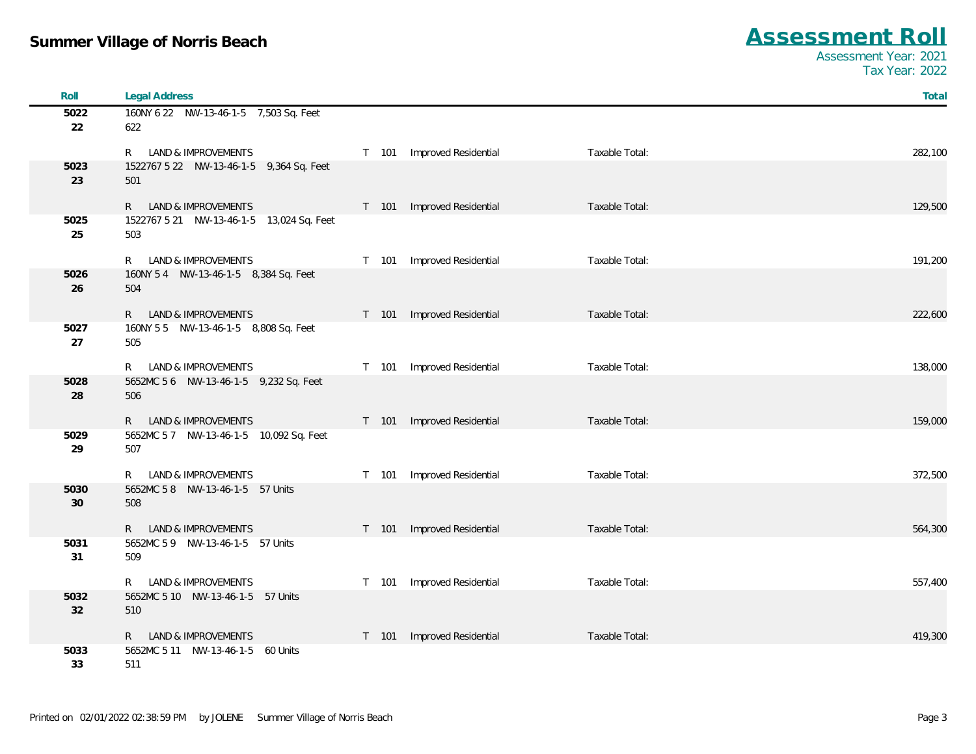| Roll       | <b>Legal Address</b>                                      |       |                            |                | Total   |
|------------|-----------------------------------------------------------|-------|----------------------------|----------------|---------|
| 5022       | 160NY 6 22 NW-13-46-1-5 7,503 Sq. Feet                    |       |                            |                |         |
| 22         | 622                                                       |       |                            |                |         |
|            | R LAND & IMPROVEMENTS                                     |       | T 101 Improved Residential | Taxable Total: | 282,100 |
| 5023       | 1522767 5 22 NW-13-46-1-5 9,364 Sq. Feet                  |       |                            |                |         |
| 23         | 501                                                       |       |                            |                |         |
|            | R LAND & IMPROVEMENTS                                     |       | T 101 Improved Residential | Taxable Total: | 129,500 |
| 5025       | 1522767 5 21 NW-13-46-1-5 13,024 Sq. Feet                 |       |                            |                |         |
| 25         | 503                                                       |       |                            |                |         |
|            | R LAND & IMPROVEMENTS                                     |       | T 101 Improved Residential | Taxable Total: | 191,200 |
| 5026       | 160NY 54 NW-13-46-1-5 8,384 Sq. Feet                      |       |                            |                |         |
| 26         | 504                                                       |       |                            |                |         |
|            | R LAND & IMPROVEMENTS                                     |       | T 101 Improved Residential | Taxable Total: | 222,600 |
| 5027       | 160NY 55 NW-13-46-1-5 8,808 Sq. Feet                      |       |                            |                |         |
| 27         | 505                                                       |       |                            |                |         |
|            | R LAND & IMPROVEMENTS                                     |       | T 101 Improved Residential | Taxable Total: | 138,000 |
| 5028       | 5652MC 5 6 NW-13-46-1-5 9,232 Sq. Feet                    |       |                            |                |         |
| 28         | 506                                                       |       |                            |                |         |
|            | R LAND & IMPROVEMENTS                                     |       | T 101 Improved Residential | Taxable Total: | 159,000 |
| 5029       | 5652MC 5 7 NW-13-46-1-5 10,092 Sq. Feet                   |       |                            |                |         |
| 29         | 507                                                       |       |                            |                |         |
|            |                                                           |       |                            |                |         |
| 5030       | R LAND & IMPROVEMENTS<br>5652MC 58 NW-13-46-1-5 57 Units  | T 101 | Improved Residential       | Taxable Total: | 372,500 |
| 30         | 508                                                       |       |                            |                |         |
|            |                                                           |       |                            |                |         |
| 5031       | R LAND & IMPROVEMENTS<br>5652MC 5 9 NW-13-46-1-5 57 Units |       | T 101 Improved Residential | Taxable Total: | 564,300 |
| 31         | 509                                                       |       |                            |                |         |
|            |                                                           |       |                            |                |         |
|            | R LAND & IMPROVEMENTS                                     |       | T 101 Improved Residential | Taxable Total: | 557,400 |
| 5032<br>32 | 5652MC 5 10 NW-13-46-1-5 57 Units<br>510                  |       |                            |                |         |
|            |                                                           |       |                            |                |         |
|            | R LAND & IMPROVEMENTS                                     |       | T 101 Improved Residential | Taxable Total: | 419,300 |
| 5033<br>33 | 5652MC 5 11 NW-13-46-1-5 60 Units<br>511                  |       |                            |                |         |
|            |                                                           |       |                            |                |         |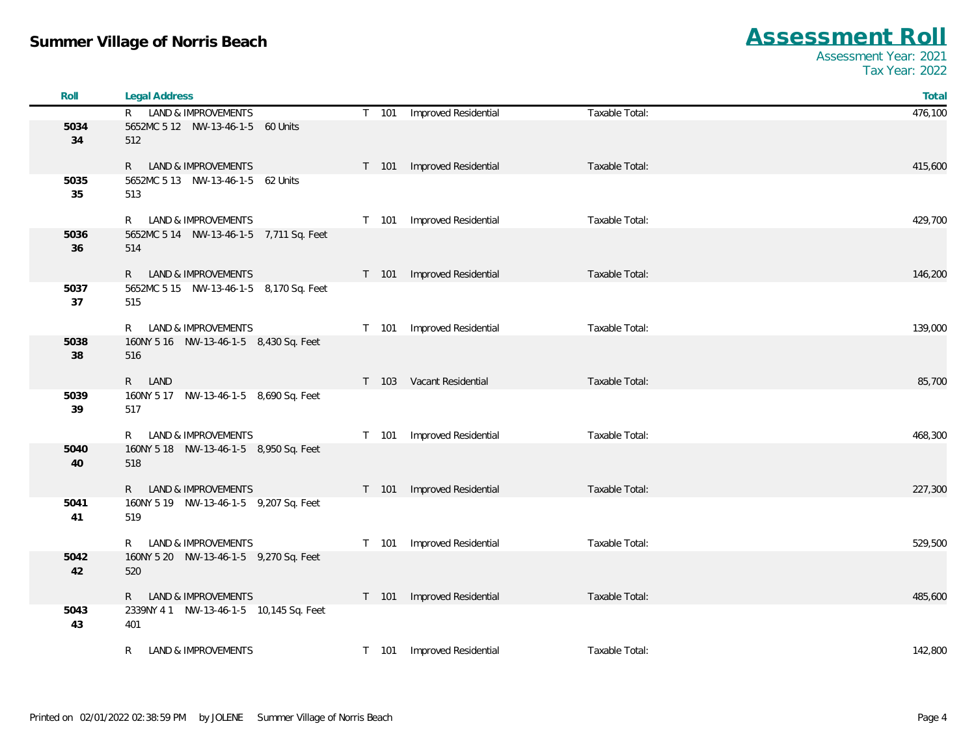| Roll       | <b>Legal Address</b>                                       |       |                            |                | Total   |
|------------|------------------------------------------------------------|-------|----------------------------|----------------|---------|
|            | R LAND & IMPROVEMENTS                                      |       | T 101 Improved Residential | Taxable Total: | 476,100 |
| 5034       | 5652MC 5 12 NW-13-46-1-5 60 Units                          |       |                            |                |         |
| 34         | 512                                                        |       |                            |                |         |
|            |                                                            |       |                            | Taxable Total: |         |
| 5035       | R LAND & IMPROVEMENTS<br>5652MC 5 13 NW-13-46-1-5 62 Units | T 101 | Improved Residential       |                | 415,600 |
| 35         | 513                                                        |       |                            |                |         |
|            |                                                            |       |                            |                |         |
|            | LAND & IMPROVEMENTS<br>R                                   | T 101 | Improved Residential       | Taxable Total: | 429,700 |
| 5036       | 5652MC 5 14 NW-13-46-1-5 7,711 Sq. Feet                    |       |                            |                |         |
| 36         | 514                                                        |       |                            |                |         |
|            | R LAND & IMPROVEMENTS                                      |       | T 101 Improved Residential | Taxable Total: | 146,200 |
| 5037       | 5652MC 5 15 NW-13-46-1-5 8,170 Sq. Feet                    |       |                            |                |         |
| 37         | 515                                                        |       |                            |                |         |
|            |                                                            |       |                            |                |         |
|            | R LAND & IMPROVEMENTS                                      | T 101 | Improved Residential       | Taxable Total: | 139,000 |
| 5038<br>38 | 160NY 5 16    NW-13-46-1-5    8,430 Sq. Feet<br>516        |       |                            |                |         |
|            |                                                            |       |                            |                |         |
|            | R LAND                                                     |       | T 103 Vacant Residential   | Taxable Total: | 85,700  |
| 5039       | 160NY 5 17 NW-13-46-1-5 8,690 Sq. Feet                     |       |                            |                |         |
| 39         | 517                                                        |       |                            |                |         |
|            | R LAND & IMPROVEMENTS                                      | T 101 | Improved Residential       | Taxable Total: | 468,300 |
| 5040       | 160NY 5 18    NW-13-46-1-5    8,950 Sq. Feet               |       |                            |                |         |
| 40         | 518                                                        |       |                            |                |         |
|            |                                                            |       |                            |                |         |
|            | R LAND & IMPROVEMENTS                                      | T 101 | Improved Residential       | Taxable Total: | 227,300 |
| 5041       | 160NY 5 19 NW-13-46-1-5 9,207 Sq. Feet                     |       |                            |                |         |
| 41         | 519                                                        |       |                            |                |         |
|            | LAND & IMPROVEMENTS<br>R —                                 | T 101 | Improved Residential       | Taxable Total: | 529,500 |
| 5042       | 160NY 5 20 NW-13-46-1-5 9,270 Sq. Feet                     |       |                            |                |         |
| 42         | 520                                                        |       |                            |                |         |
|            |                                                            |       |                            |                |         |
|            | R LAND & IMPROVEMENTS                                      |       | T 101 Improved Residential | Taxable Total: | 485,600 |
| 5043<br>43 | 2339NY 41 NW-13-46-1-5 10,145 Sq. Feet<br>401              |       |                            |                |         |
|            |                                                            |       |                            |                |         |
|            | LAND & IMPROVEMENTS<br>R.                                  |       | T 101 Improved Residential | Taxable Total: | 142,800 |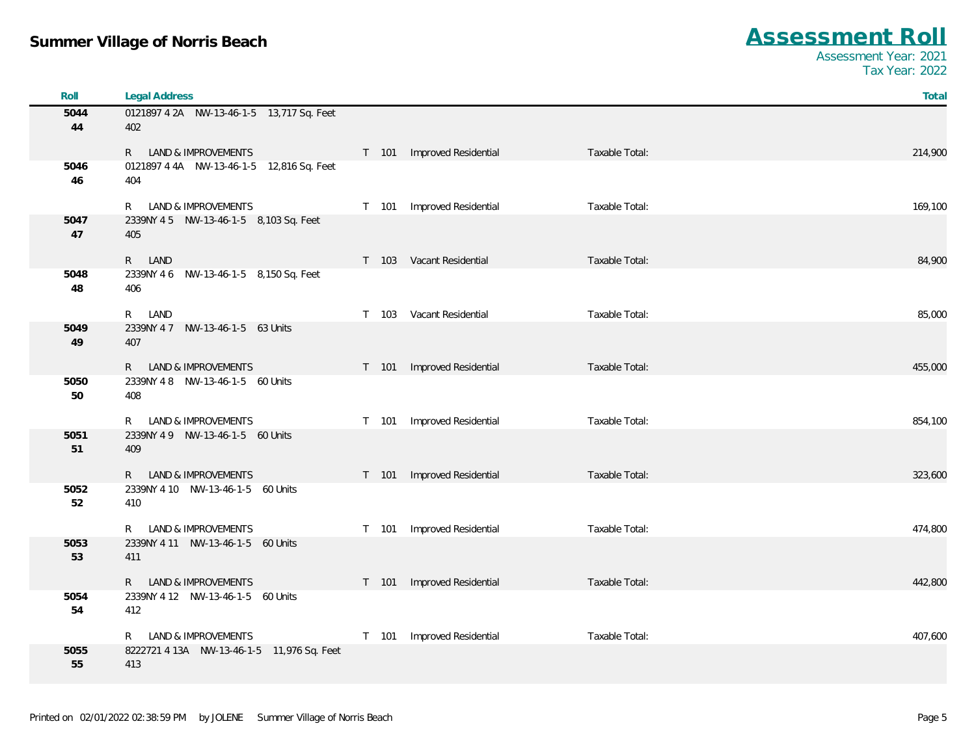| Roll       | <b>Legal Address</b>                             |       |                            |                | Total   |
|------------|--------------------------------------------------|-------|----------------------------|----------------|---------|
| 5044<br>44 | 0121897 4 2A NW-13-46-1-5 13,717 Sq. Feet<br>402 |       |                            |                |         |
|            | R LAND & IMPROVEMENTS                            |       | T 101 Improved Residential | Taxable Total: | 214,900 |
| 5046<br>46 | 0121897 4 4A NW-13-46-1-5 12,816 Sq. Feet<br>404 |       |                            |                |         |
|            | R LAND & IMPROVEMENTS                            | T 101 | Improved Residential       | Taxable Total: | 169,100 |
| 5047<br>47 | 2339NY 45 NW-13-46-1-5 8,103 Sq. Feet<br>405     |       |                            |                |         |
|            | R LAND                                           |       | T 103 Vacant Residential   | Taxable Total: | 84,900  |
| 5048<br>48 | 2339NY 4 6 NW-13-46-1-5 8,150 Sq. Feet<br>406    |       |                            |                |         |
|            | R.<br>LAND                                       | T 103 | Vacant Residential         | Taxable Total: | 85,000  |
| 5049<br>49 | 2339NY 4 7 NW-13-46-1-5 63 Units<br>407          |       |                            |                |         |
|            | LAND & IMPROVEMENTS<br>$R_{\parallel}$           |       | T 101 Improved Residential | Taxable Total: | 455,000 |
| 5050<br>50 | 2339NY 4 8 NW-13-46-1-5 60 Units<br>408          |       |                            |                |         |
|            | R LAND & IMPROVEMENTS                            | T 101 | Improved Residential       | Taxable Total: | 854,100 |
| 5051<br>51 | 2339NY 49 NW-13-46-1-5 60 Units<br>409           |       |                            |                |         |
|            | LAND & IMPROVEMENTS<br>R.                        |       | T 101 Improved Residential | Taxable Total: | 323,600 |
| 5052<br>52 | 2339NY 4 10 NW-13-46-1-5 60 Units<br>410         |       |                            |                |         |
|            | LAND & IMPROVEMENTS<br>R.                        | T 101 | Improved Residential       | Taxable Total: | 474,800 |
| 5053<br>53 | 2339NY 4 11 NW-13-46-1-5 60 Units<br>411         |       |                            |                |         |
|            | R LAND & IMPROVEMENTS                            |       | T 101 Improved Residential | Taxable Total: | 442,800 |
| 5054<br>54 | 2339NY 4 12 NW-13-46-1-5 60 Units<br>412         |       |                            |                |         |
|            | LAND & IMPROVEMENTS<br>R.                        | T 101 | Improved Residential       | Taxable Total: | 407,600 |
| 5055<br>55 | 413                                              |       |                            |                |         |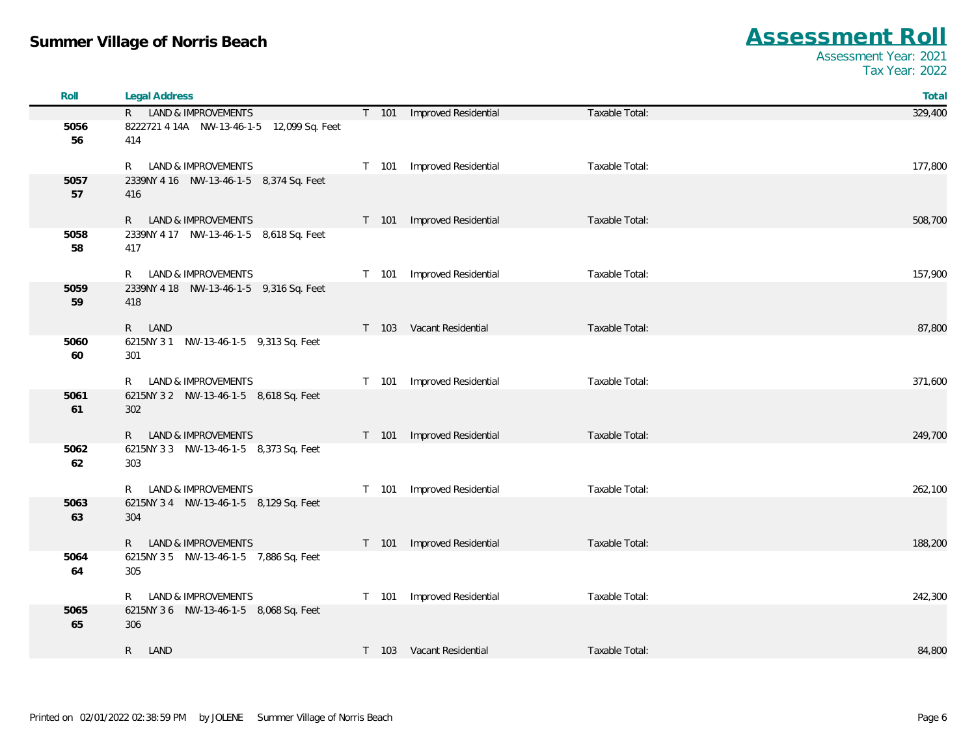| Roll       | <b>Legal Address</b>                           |                            |                | Total   |
|------------|------------------------------------------------|----------------------------|----------------|---------|
|            | R LAND & IMPROVEMENTS                          | T 101 Improved Residential | Taxable Total: | 329,400 |
| 5056<br>56 | 414                                            |                            |                |         |
|            | R LAND & IMPROVEMENTS                          | T 101 Improved Residential | Taxable Total: | 177,800 |
| 5057<br>57 | 2339NY 4 16 NW-13-46-1-5 8,374 Sq. Feet<br>416 |                            |                |         |
|            | R LAND & IMPROVEMENTS                          | T 101 Improved Residential | Taxable Total: | 508,700 |
| 5058<br>58 | 2339NY 4 17 NW-13-46-1-5 8,618 Sq. Feet<br>417 |                            |                |         |
|            | R LAND & IMPROVEMENTS                          | T 101 Improved Residential | Taxable Total: | 157,900 |
| 5059<br>59 | 2339NY 4 18 NW-13-46-1-5 9,316 Sq. Feet<br>418 |                            |                |         |
|            | R LAND                                         | T 103 Vacant Residential   | Taxable Total: | 87,800  |
| 5060<br>60 | 6215NY 31 NW-13-46-1-5 9,313 Sq. Feet<br>301   |                            |                |         |
|            | R LAND & IMPROVEMENTS                          | T 101 Improved Residential | Taxable Total: | 371,600 |
| 5061<br>61 | 6215NY 32 NW-13-46-1-5 8,618 Sq. Feet<br>302   |                            |                |         |
|            | R LAND & IMPROVEMENTS                          | T 101 Improved Residential | Taxable Total: | 249,700 |
| 5062<br>62 | 6215NY 3 3 NW-13-46-1-5 8,373 Sq. Feet<br>303  |                            |                |         |
|            | R LAND & IMPROVEMENTS                          | T 101 Improved Residential | Taxable Total: | 262,100 |
| 5063<br>63 | 6215NY 3 4 NW-13-46-1-5 8,129 Sq. Feet<br>304  |                            |                |         |
|            | R LAND & IMPROVEMENTS                          | T 101 Improved Residential | Taxable Total: | 188,200 |
| 5064<br>64 | 6215NY 35 NW-13-46-1-5 7,886 Sq. Feet<br>305   |                            |                |         |
|            | R LAND & IMPROVEMENTS                          | T 101 Improved Residential | Taxable Total: | 242,300 |
| 5065<br>65 | 6215NY 36 NW-13-46-1-5 8,068 Sq. Feet<br>306   |                            |                |         |
|            | R LAND                                         | T 103 Vacant Residential   | Taxable Total: | 84,800  |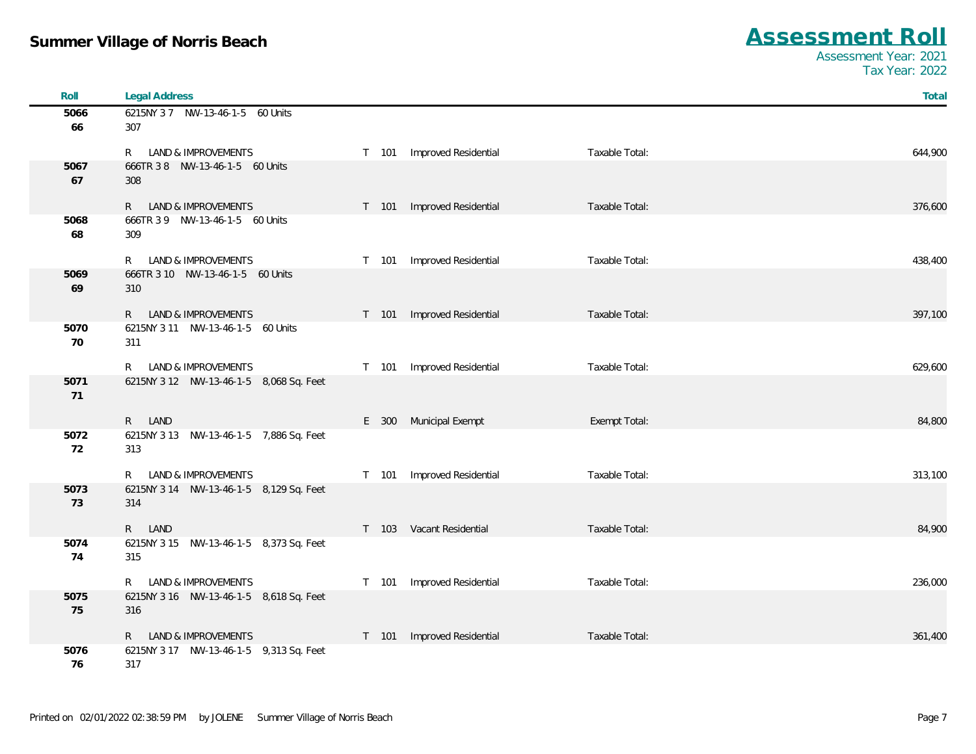| Roll | <b>Legal Address</b>                              |       |                            |                | Total   |
|------|---------------------------------------------------|-------|----------------------------|----------------|---------|
| 5066 | 6215NY 37 NW-13-46-1-5 60 Units                   |       |                            |                |         |
| 66   | 307                                               |       |                            |                |         |
|      | LAND & IMPROVEMENTS<br>R.                         | T 101 | Improved Residential       | Taxable Total: | 644,900 |
| 5067 | 666TR 3 8 NW-13-46-1-5 60 Units                   |       |                            |                |         |
| 67   | 308                                               |       |                            |                |         |
|      | <b>LAND &amp; IMPROVEMENTS</b><br>R               |       | T 101 Improved Residential | Taxable Total: | 376,600 |
| 5068 | 666TR 3 9 NW-13-46-1-5 60 Units                   |       |                            |                |         |
| 68   | 309                                               |       |                            |                |         |
|      | LAND & IMPROVEMENTS<br>R.                         | T 101 | Improved Residential       | Taxable Total: | 438,400 |
| 5069 | 666TR 3 10 NW-13-46-1-5 60 Units                  |       |                            |                |         |
| 69   | 310                                               |       |                            |                |         |
|      | LAND & IMPROVEMENTS<br>R.                         |       | T 101 Improved Residential | Taxable Total: | 397,100 |
| 5070 | 6215NY 3 11 NW-13-46-1-5 60 Units                 |       |                            |                |         |
| 70   | 311                                               |       |                            |                |         |
|      | LAND & IMPROVEMENTS<br>R.                         | T 101 | Improved Residential       | Taxable Total: | 629,600 |
| 5071 | 6215NY 3 12 NW-13-46-1-5 8,068 Sq. Feet           |       |                            |                |         |
| 71   |                                                   |       |                            |                |         |
|      | R LAND                                            |       | E 300 Municipal Exempt     | Exempt Total:  | 84,800  |
| 5072 | 6215NY 3 13 NW-13-46-1-5 7,886 Sq. Feet           |       |                            |                |         |
| 72   | 313                                               |       |                            |                |         |
|      | LAND & IMPROVEMENTS<br>R.                         | T 101 | Improved Residential       | Taxable Total: | 313,100 |
| 5073 | 6215NY 3 14 NW-13-46-1-5 8,129 Sq. Feet           |       |                            |                |         |
| 73   | 314                                               |       |                            |                |         |
|      |                                                   |       |                            |                |         |
| 5074 | R LAND<br>6215NY 3 15 NW-13-46-1-5 8,373 Sq. Feet |       | T 103 Vacant Residential   | Taxable Total: | 84,900  |
| 74   | 315                                               |       |                            |                |         |
|      |                                                   |       |                            |                |         |
|      | LAND & IMPROVEMENTS<br>R.                         | T 101 | Improved Residential       | Taxable Total: | 236,000 |
| 5075 | 6215NY 3 16 NW-13-46-1-5 8,618 Sq. Feet           |       |                            |                |         |
| 75   | 316                                               |       |                            |                |         |
|      | LAND & IMPROVEMENTS<br>R.                         | T 101 | Improved Residential       | Taxable Total: | 361,400 |
| 5076 | 6215NY 3 17 NW-13-46-1-5 9,313 Sq. Feet           |       |                            |                |         |
| 76   | 317                                               |       |                            |                |         |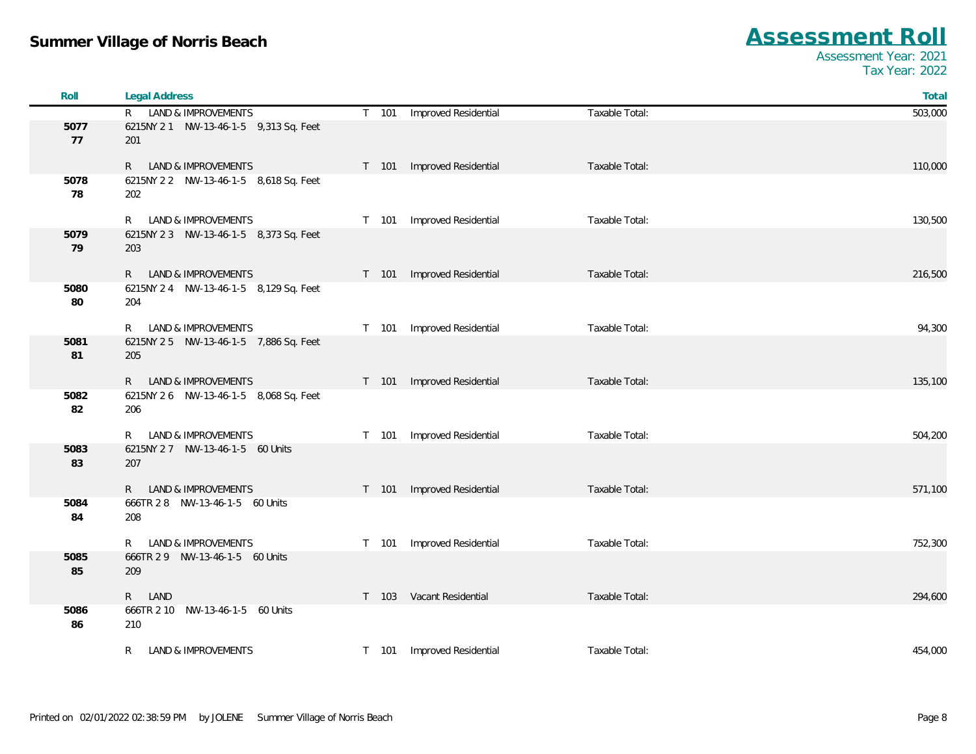| Roll       | <b>Legal Address</b>                         |                               |                | Total   |
|------------|----------------------------------------------|-------------------------------|----------------|---------|
|            | R LAND & IMPROVEMENTS                        | T 101 Improved Residential    | Taxable Total: | 503,000 |
| 5077       | 6215NY 21 NW-13-46-1-5 9,313 Sq. Feet        |                               |                |         |
| 77         | 201                                          |                               |                |         |
|            | LAND & IMPROVEMENTS<br>R                     | Improved Residential<br>T 101 | Taxable Total: | 110,000 |
| 5078       | 6215NY 2 2 NW-13-46-1-5 8,618 Sq. Feet       |                               |                |         |
| 78         | 202                                          |                               |                |         |
|            |                                              |                               |                |         |
|            | LAND & IMPROVEMENTS<br>R                     | Improved Residential<br>T 101 | Taxable Total: | 130,500 |
| 5079       | 6215NY 2 3 NW-13-46-1-5 8,373 Sq. Feet       |                               |                |         |
| 79         | 203                                          |                               |                |         |
|            | R LAND & IMPROVEMENTS                        | Improved Residential<br>T 101 | Taxable Total: | 216,500 |
| 5080       | 6215NY 2 4 NW-13-46-1-5 8,129 Sq. Feet       |                               |                |         |
| 80         | 204                                          |                               |                |         |
|            |                                              |                               |                |         |
|            | LAND & IMPROVEMENTS<br>R                     | T 101 Improved Residential    | Taxable Total: | 94,300  |
| 5081<br>81 | 6215NY 25 NW-13-46-1-5 7,886 Sq. Feet<br>205 |                               |                |         |
|            |                                              |                               |                |         |
|            | R LAND & IMPROVEMENTS                        | T 101 Improved Residential    | Taxable Total: | 135,100 |
| 5082       | 6215NY 2 6 NW-13-46-1-5 8,068 Sq. Feet       |                               |                |         |
| 82         | 206                                          |                               |                |         |
|            | LAND & IMPROVEMENTS<br>R                     | Improved Residential<br>T 101 | Taxable Total: | 504,200 |
| 5083       | 6215NY 2 7 NW-13-46-1-5 60 Units             |                               |                |         |
| 83         | 207                                          |                               |                |         |
|            |                                              |                               |                |         |
|            | LAND & IMPROVEMENTS<br>R                     | T 101<br>Improved Residential | Taxable Total: | 571,100 |
| 5084       | 666TR 2 8 NW-13-46-1-5 60 Units              |                               |                |         |
| 84         | 208                                          |                               |                |         |
|            | LAND & IMPROVEMENTS<br>R.                    | Improved Residential<br>T 101 | Taxable Total: | 752,300 |
| 5085       | 666TR 2 9 NW-13-46-1-5 60 Units              |                               |                |         |
| 85         | 209                                          |                               |                |         |
|            |                                              |                               |                |         |
| 5086       | R LAND<br>666TR 2 10 NW-13-46-1-5 60 Units   | T 103 Vacant Residential      | Taxable Total: | 294,600 |
| 86         | 210                                          |                               |                |         |
|            |                                              |                               |                |         |
|            | LAND & IMPROVEMENTS<br>R.                    | T 101 Improved Residential    | Taxable Total: | 454,000 |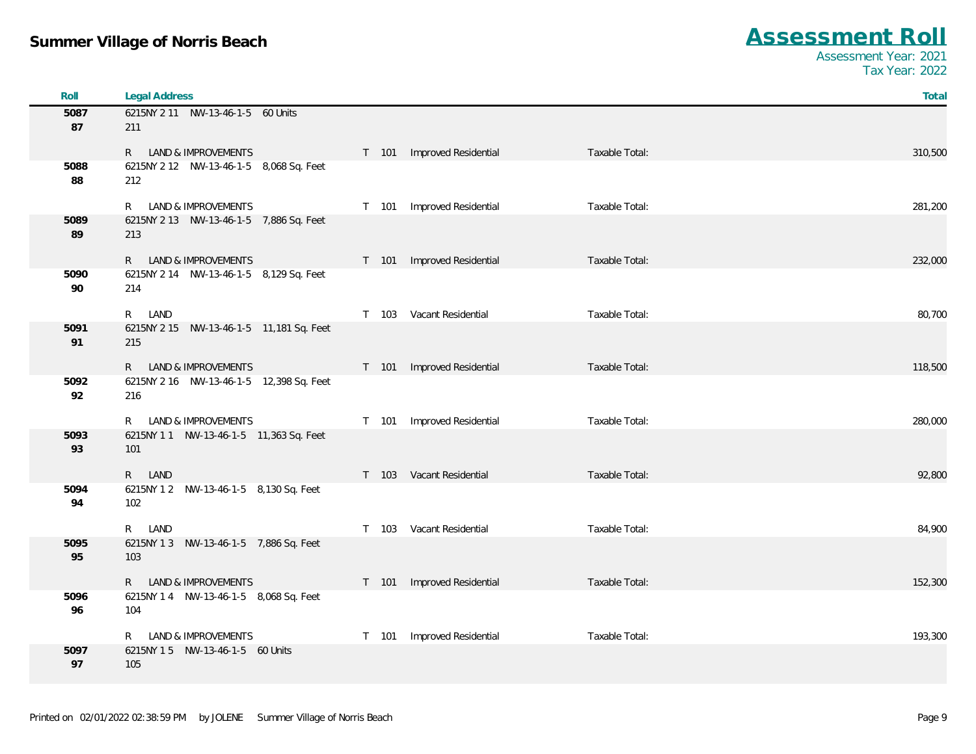| Roll       | <b>Legal Address</b>                                |                                              | Total   |
|------------|-----------------------------------------------------|----------------------------------------------|---------|
| 5087       | 6215NY 2 11 NW-13-46-1-5 60 Units                   |                                              |         |
| 87         | 211                                                 |                                              |         |
|            | R LAND & IMPROVEMENTS                               | T 101 Improved Residential<br>Taxable Total: | 310,500 |
| 5088       | 6215NY 2 12 NW-13-46-1-5 8,068 Sq. Feet             |                                              |         |
| 88         | 212                                                 |                                              |         |
|            | R LAND & IMPROVEMENTS                               | T 101 Improved Residential<br>Taxable Total: | 281,200 |
| 5089       | 6215NY 2 13 NW-13-46-1-5 7,886 Sq. Feet             |                                              |         |
| 89         | 213                                                 |                                              |         |
|            |                                                     |                                              |         |
|            | R LAND & IMPROVEMENTS                               | T 101 Improved Residential<br>Taxable Total: | 232,000 |
| 5090<br>90 | 6215NY 2 14 NW-13-46-1-5 8,129 Sq. Feet<br>214      |                                              |         |
|            |                                                     |                                              |         |
|            | R LAND                                              | T 103 Vacant Residential<br>Taxable Total:   | 80,700  |
| 5091       | 6215NY 2 15 NW-13-46-1-5 11,181 Sq. Feet            |                                              |         |
| 91         | 215                                                 |                                              |         |
|            | R LAND & IMPROVEMENTS                               | T 101 Improved Residential<br>Taxable Total: | 118,500 |
| 5092       | 6215NY 2 16 NW-13-46-1-5 12,398 Sq. Feet            |                                              |         |
| 92         | 216                                                 |                                              |         |
|            | LAND & IMPROVEMENTS<br>R                            | T 101 Improved Residential<br>Taxable Total: | 280,000 |
| 5093       | 6215NY 11 NW-13-46-1-5 11,363 Sq. Feet              |                                              |         |
| 93         | 101                                                 |                                              |         |
|            |                                                     |                                              |         |
|            | R LAND                                              | Taxable Total:<br>T 103 Vacant Residential   | 92,800  |
| 5094<br>94 | 6215NY 1 2    NW-13-46-1-5    8,130 Sq. Feet<br>102 |                                              |         |
|            |                                                     |                                              |         |
|            | R LAND                                              | T 103 Vacant Residential<br>Taxable Total:   | 84,900  |
| 5095       | 6215NY 1 3 NW-13-46-1-5 7,886 Sq. Feet              |                                              |         |
| 95         | 103                                                 |                                              |         |
|            | R LAND & IMPROVEMENTS                               | T 101 Improved Residential<br>Taxable Total: | 152,300 |
| 5096       | 6215NY 1 4 NW-13-46-1-5 8,068 Sq. Feet              |                                              |         |
| 96         | 104                                                 |                                              |         |
|            | <b>LAND &amp; IMPROVEMENTS</b><br>R                 | T 101 Improved Residential<br>Taxable Total: | 193,300 |
| 5097       | 6215NY 15 NW-13-46-1-5 60 Units                     |                                              |         |
| 97         | 105                                                 |                                              |         |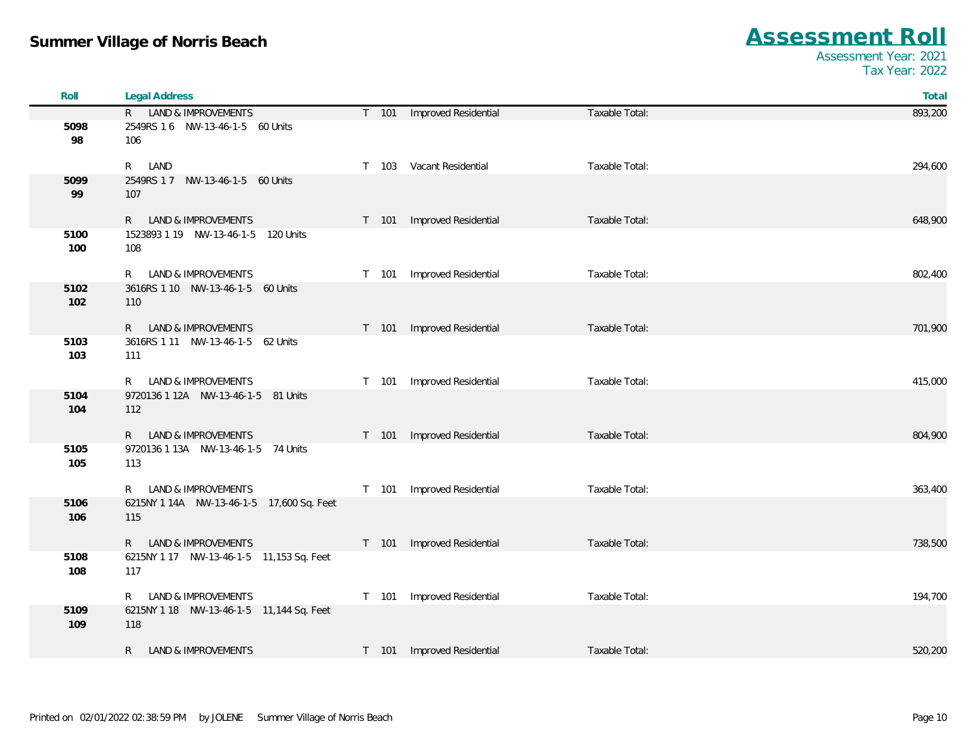| Roll        | <b>Legal Address</b>                                  |                            |                | Total   |
|-------------|-------------------------------------------------------|----------------------------|----------------|---------|
|             | R LAND & IMPROVEMENTS                                 | T 101 Improved Residential | Taxable Total: | 893,200 |
| 5098<br>98  | 2549RS 1 6 NW-13-46-1-5 60 Units<br>106               |                            |                |         |
|             | R LAND                                                | T 103 Vacant Residential   | Taxable Total: | 294,600 |
| 5099<br>99  | 2549RS 1 7 NW-13-46-1-5 60 Units<br>107               |                            |                |         |
|             | R LAND & IMPROVEMENTS                                 | T 101 Improved Residential | Taxable Total: | 648,900 |
| 5100<br>100 | 1523893 1 19 NW-13-46-1-5 120 Units<br>108            |                            |                |         |
|             | R LAND & IMPROVEMENTS                                 | T 101 Improved Residential | Taxable Total: | 802,400 |
| 5102<br>102 | 3616RS 1 10 NW-13-46-1-5 60 Units<br>110              |                            |                |         |
|             | R LAND & IMPROVEMENTS                                 | T 101 Improved Residential | Taxable Total: | 701,900 |
| 5103<br>103 | 3616RS 1 11 NW-13-46-1-5 62 Units<br>111              |                            |                |         |
|             | R LAND & IMPROVEMENTS                                 | T 101 Improved Residential | Taxable Total: | 415,000 |
| 5104<br>104 | 9720136 1 12A NW-13-46-1-5 81 Units<br>112            |                            |                |         |
|             | R LAND & IMPROVEMENTS                                 | T 101 Improved Residential | Taxable Total: | 804,900 |
| 5105<br>105 | 9720136 1 13A NW-13-46-1-5 74 Units<br>113            |                            |                |         |
|             | R LAND & IMPROVEMENTS                                 | T 101 Improved Residential | Taxable Total: | 363,400 |
| 5106<br>106 | 6215NY 1 14A NW-13-46-1-5 17,600 Sq. Feet<br>115      |                            |                |         |
|             | R LAND & IMPROVEMENTS                                 | T 101 Improved Residential | Taxable Total: | 738,500 |
| 5108<br>108 | 6215NY 1 17 NW-13-46-1-5 11,153 Sq. Feet<br>117       |                            |                |         |
|             | R LAND & IMPROVEMENTS                                 | T 101 Improved Residential | Taxable Total: | 194,700 |
| 5109<br>109 | 6215NY 1 18    NW-13-46-1-5    11,144 Sq. Feet<br>118 |                            |                |         |
|             | R LAND & IMPROVEMENTS                                 | T 101 Improved Residential | Taxable Total: | 520,200 |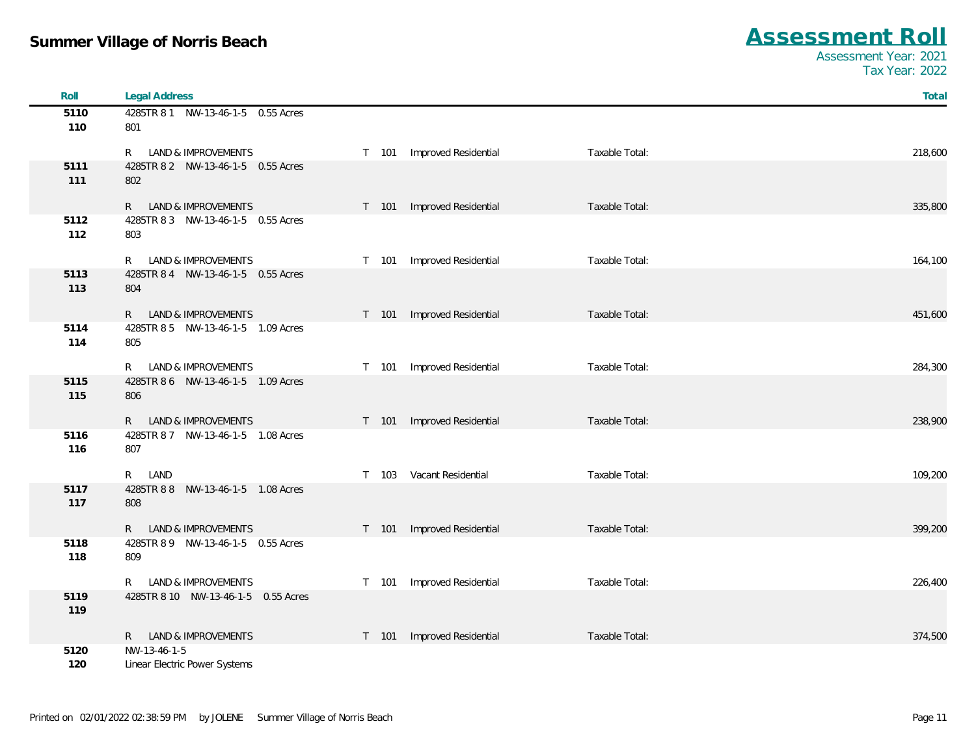| Roll        | <b>Legal Address</b>                      |         |                      |                | Total   |
|-------------|-------------------------------------------|---------|----------------------|----------------|---------|
| 5110        | 4285TR 8 1 NW-13-46-1-5 0.55 Acres        |         |                      |                |         |
| 110         | 801                                       |         |                      |                |         |
|             | LAND & IMPROVEMENTS<br>R.                 | T 101   | Improved Residential | Taxable Total: | 218,600 |
| 5111        | 4285TR 8 2 NW-13-46-1-5 0.55 Acres        |         |                      |                |         |
| 111         | 802                                       |         |                      |                |         |
|             | LAND & IMPROVEMENTS<br>R —                | T 101   | Improved Residential | Taxable Total: | 335,800 |
| 5112        | 4285TR 8 3 NW-13-46-1-5 0.55 Acres        |         |                      |                |         |
| 112         | 803                                       |         |                      |                |         |
|             | LAND & IMPROVEMENTS<br>R.                 | T 101   | Improved Residential | Taxable Total: | 164,100 |
| 5113        | 4285TR 8 4 NW-13-46-1-5 0.55 Acres        |         |                      |                |         |
| 113         | 804                                       |         |                      |                |         |
|             | <b>LAND &amp; IMPROVEMENTS</b><br>R       | T 101   | Improved Residential | Taxable Total: | 451,600 |
| 5114        | 4285TR 8 5 NW-13-46-1-5 1.09 Acres        |         |                      |                |         |
| 114         | 805                                       |         |                      |                |         |
|             | LAND & IMPROVEMENTS<br>R.                 | T 101   | Improved Residential | Taxable Total: | 284,300 |
| 5115        | 4285TR 8 6 NW-13-46-1-5 1.09 Acres        |         |                      |                |         |
| 115         | 806                                       |         |                      |                |         |
|             | LAND & IMPROVEMENTS<br>$R_{\perp}$        | T 101   | Improved Residential | Taxable Total: | 238,900 |
| 5116        | 4285TR 8 7 NW-13-46-1-5 1.08 Acres        |         |                      |                |         |
| 116         | 807                                       |         |                      |                |         |
|             | LAND<br>R.                                | $T$ 103 | Vacant Residential   | Taxable Total: | 109,200 |
| 5117        | 4285TR 8 8 NW-13-46-1-5 1.08 Acres        |         |                      |                |         |
| 117         | 808                                       |         |                      |                |         |
|             |                                           |         |                      |                |         |
|             | LAND & IMPROVEMENTS<br>R                  | T 101   | Improved Residential | Taxable Total: | 399,200 |
| 5118<br>118 | 4285TR 8 9 NW-13-46-1-5 0.55 Acres<br>809 |         |                      |                |         |
|             |                                           |         |                      |                |         |
|             | <b>LAND &amp; IMPROVEMENTS</b><br>R.      | T 101   | Improved Residential | Taxable Total: | 226,400 |
| 5119        | 4285TR 8 10 NW-13-46-1-5 0.55 Acres       |         |                      |                |         |
| 119         |                                           |         |                      |                |         |
|             | LAND & IMPROVEMENTS<br>R.                 | T 101   | Improved Residential | Taxable Total: | 374,500 |
| 5120        | NW-13-46-1-5                              |         |                      |                |         |
| 120         | Linear Electric Power Systems             |         |                      |                |         |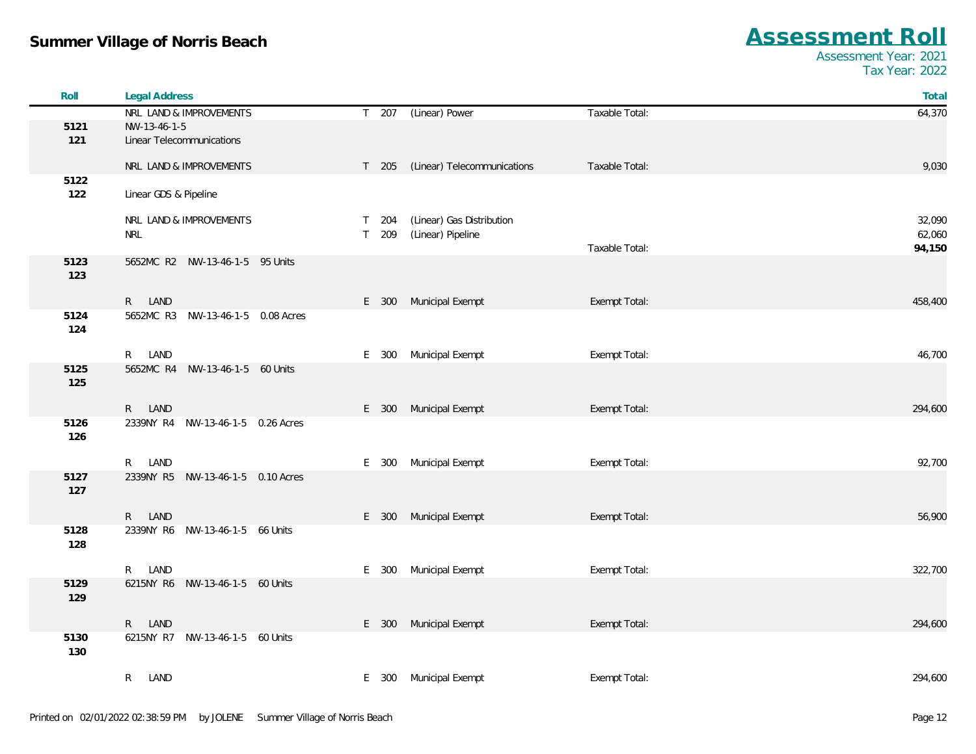| Roll        | <b>Legal Address</b>              |                                                     | Total   |
|-------------|-----------------------------------|-----------------------------------------------------|---------|
|             | NRL LAND & IMPROVEMENTS           | T 207 (Linear) Power<br>Taxable Total:              | 64,370  |
| 5121        | NW-13-46-1-5                      |                                                     |         |
| 121         | Linear Telecommunications         |                                                     |         |
|             | NRL LAND & IMPROVEMENTS           | T 205 (Linear) Telecommunications<br>Taxable Total: | 9,030   |
| 5122        |                                   |                                                     |         |
| 122         | Linear GDS & Pipeline             |                                                     |         |
|             | NRL LAND & IMPROVEMENTS           | (Linear) Gas Distribution<br>T 204                  | 32,090  |
|             | <b>NRL</b>                        | T 209<br>(Linear) Pipeline                          | 62,060  |
|             |                                   | Taxable Total:                                      | 94,150  |
| 5123<br>123 | 5652MC R2 NW-13-46-1-5 95 Units   |                                                     |         |
|             | R LAND                            | Municipal Exempt<br>Exempt Total:<br>E 300          | 458,400 |
| 5124        | 5652MC R3 NW-13-46-1-5 0.08 Acres |                                                     |         |
| 124         |                                   |                                                     |         |
|             | R LAND                            | Municipal Exempt<br>E 300                           | 46,700  |
| 5125        | 5652MC R4 NW-13-46-1-5 60 Units   | Exempt Total:                                       |         |
| 125         |                                   |                                                     |         |
|             | R LAND                            | Municipal Exempt<br>E 300<br>Exempt Total:          | 294,600 |
| 5126        | 2339NY R4 NW-13-46-1-5 0.26 Acres |                                                     |         |
| 126         |                                   |                                                     |         |
|             | R LAND                            | E 300<br>Municipal Exempt<br>Exempt Total:          | 92,700  |
| 5127        | 2339NY R5 NW-13-46-1-5 0.10 Acres |                                                     |         |
| 127         |                                   |                                                     |         |
|             |                                   |                                                     |         |
|             | R LAND                            | Municipal Exempt<br>E 300<br>Exempt Total:          | 56,900  |
| 5128<br>128 | 2339NY R6 NW-13-46-1-5 66 Units   |                                                     |         |
|             |                                   |                                                     |         |
| 5129        | R LAND                            | Municipal Exempt<br>Exempt Total:<br>E 300          | 322,700 |
| 129         | 6215NY R6 NW-13-46-1-5 60 Units   |                                                     |         |
|             | R LAND                            | Municipal Exempt<br>Exempt Total:<br>E 300          | 294,600 |
| 5130<br>130 | 6215NY R7 NW-13-46-1-5 60 Units   |                                                     |         |
|             | $\mathsf{R}^-$<br>LAND            | E 300 Municipal Exempt<br>Exempt Total:             | 294,600 |
|             |                                   |                                                     |         |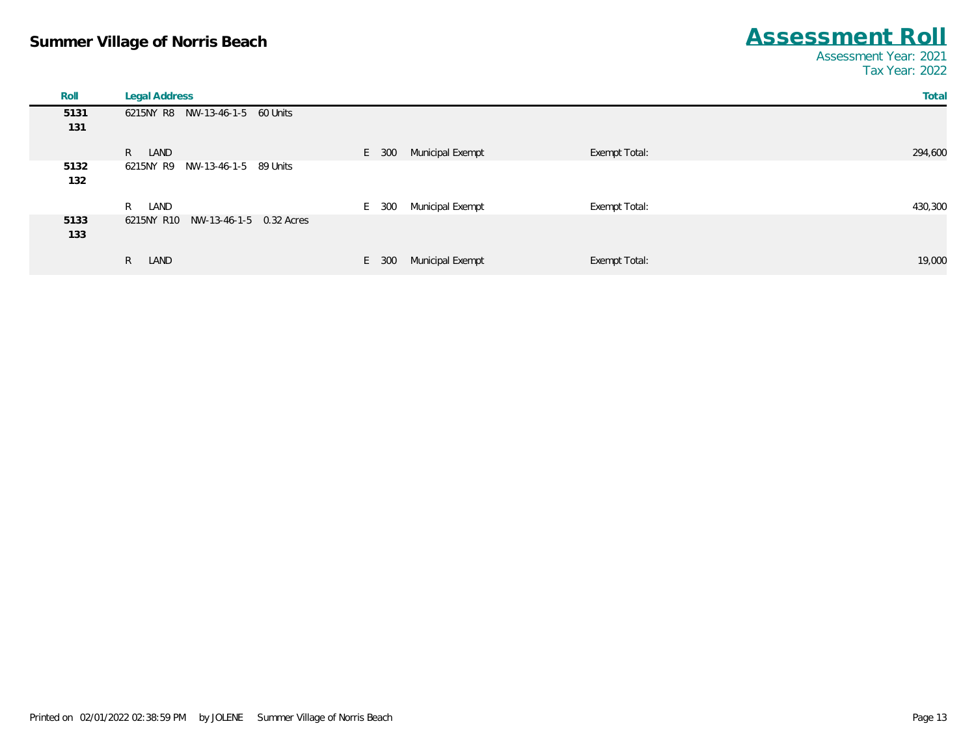| Roll        | <b>Legal Address</b>                  |                           | Total                    |
|-------------|---------------------------------------|---------------------------|--------------------------|
| 5131        | 6215NY R8 NW-13-46-1-5 60 Units       |                           |                          |
| 131         |                                       |                           |                          |
|             | R LAND                                | E 300<br>Municipal Exempt | 294,600<br>Exempt Total: |
| 5132<br>132 | 6215NY R9<br>NW-13-46-1-5 89 Units    |                           |                          |
|             | R<br>LAND                             | Municipal Exempt<br>E 300 | Exempt Total:<br>430,300 |
| 5133<br>133 | NW-13-46-1-5 0.32 Acres<br>6215NY R10 |                           |                          |
|             | R<br>LAND                             | Municipal Exempt<br>E 300 | Exempt Total:<br>19,000  |